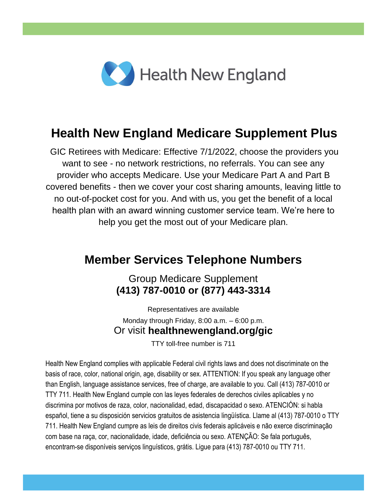

## **Health New England Medicare Supplement Plus**

GIC Retirees with Medicare: Effective 7/1/2022, choose the providers you want to see - no network restrictions, no referrals. You can see any provider who accepts Medicare. Use your Medicare Part A and Part B covered benefits - then we cover your cost sharing amounts, leaving little to no out-of-pocket cost for you. And with us, you get the benefit of a local health plan with an award winning customer service team. We're here to help you get the most out of your Medicare plan.

### **Member Services Telephone Numbers**

Group Medicare Supplement **(413) 787-0010 or (877) 443-3314**

Representatives are available Monday through Friday, 8:00 a.m. – 6:00 p.m. Or visit **healthnewengland.org/gic**

TTY toll-free number is 711

Health New England complies with applicable Federal civil rights laws and does not discriminate on the basis of race, color, national origin, age, disability or sex. ATTENTION: If you speak any language other than English, language assistance services, free of charge, are available to you. Call (413) 787-0010 or TTY 711. Health New England cumple con las leyes federales de derechos civiles aplicables y no discrimina por motivos de raza, color, nacionalidad, edad, discapacidad o sexo. ATENCION: si habla español, tiene a su disposición servicios gratuitos de asistencia lingüística. Llame al (413) 787-0010 o TTY 711. Health New England cumpre as leis de direitos civis federais aplicáveis e não exerce discriminação com base na raça, cor, nacionalidade, idade, deficiência ou sexo. ATENÇÃO: Se fala português, encontram-se disponíveis serviços linguísticos, grátis. Ligue para (413) 787-0010 ou TTY 711.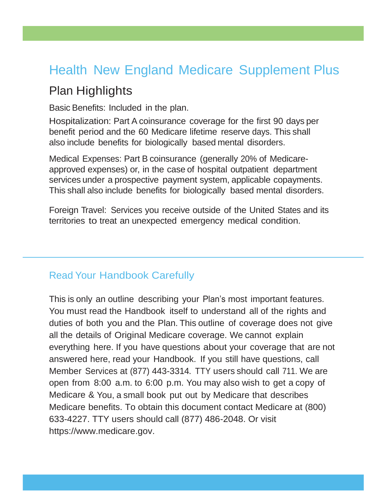# Health New England Medicare Supplement Plus

### Plan Highlights

Basic Benefits: Included in the plan.

Hospitalization: Part A coinsurance coverage for the first 90 days per benefit period and the 60 Medicare lifetime reserve days. This shall also include benefits for biologically based mental disorders.

Medical Expenses: Part B coinsurance (generally 20% of Medicareapproved expenses) or, in the case of hospital outpatient department services under a prospective payment system, applicable copayments. This shall also include benefits for biologically based mental disorders.

Foreign Travel: Services you receive outside of the United States and its territories to treat an unexpected emergency medical condition.

#### Read Your Handbook Carefully

This is only an outline describing your Plan's most important features. You must read the Handbook itself to understand all of the rights and duties of both you and the Plan. This outline of coverage does not give all the details of Original Medicare coverage. We cannot explain everything here. If you have questions about your coverage that are not answered here, read your Handbook. If you still have questions, call Member Services at (877) 443-3314. TTY users should call 711. We are open from 8:00 a.m. to 6:00 p.m. You may also wish to get a copy of Medicare & You, a small book put out by Medicare that describes Medicare benefits. To obtain this document contact Medicare at (800) 633-4227. TTY users should call (877) 486-2048. Or visit https://www.medicare.gov.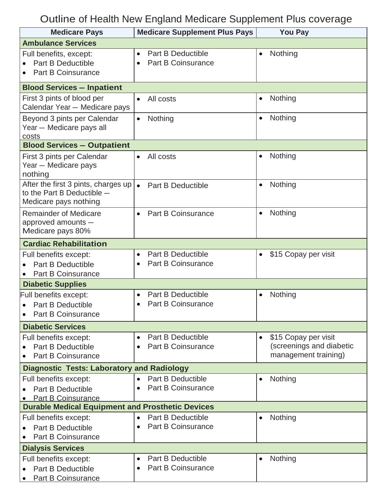# Outline of Health New England Medicare Supplement Plus coverage

| <b>Medicare Pays</b>                                    | <b>Medicare Supplement Plus Pays</b>   | <b>You Pay</b>                                                |
|---------------------------------------------------------|----------------------------------------|---------------------------------------------------------------|
| <b>Ambulance Services</b>                               |                                        |                                                               |
| Full benefits, except:                                  | <b>Part B Deductible</b><br>$\bullet$  | Nothing<br>$\bullet$                                          |
| <b>Part B Deductible</b>                                | <b>Part B Coinsurance</b><br>$\bullet$ |                                                               |
| <b>Part B Coinsurance</b>                               |                                        |                                                               |
| <b>Blood Services - Inpatient</b>                       |                                        |                                                               |
| First 3 pints of blood per                              | All costs<br>$\bullet$                 | Nothing<br>$\bullet$                                          |
| Calendar Year - Medicare pays                           |                                        |                                                               |
| Beyond 3 pints per Calendar                             | Nothing<br>$\bullet$                   | Nothing<br>$\bullet$                                          |
| Year - Medicare pays all                                |                                        |                                                               |
| costs                                                   |                                        |                                                               |
| <b>Blood Services - Outpatient</b>                      |                                        |                                                               |
| First 3 pints per Calendar<br>Year - Medicare pays      | All costs<br>$\bullet$                 | Nothing<br>$\bullet$                                          |
| nothing                                                 |                                        |                                                               |
| After the first 3 pints, charges up                     | <b>Part B Deductible</b>               | Nothing<br>$\bullet$                                          |
| to the Part B Deductible $-$                            |                                        |                                                               |
| Medicare pays nothing                                   |                                        |                                                               |
| <b>Remainder of Medicare</b>                            | <b>Part B Coinsurance</b><br>$\bullet$ | Nothing<br>$\bullet$                                          |
| approved amounts -                                      |                                        |                                                               |
| Medicare pays 80%                                       |                                        |                                                               |
| <b>Cardiac Rehabilitation</b>                           |                                        |                                                               |
| Full benefits except:                                   | <b>Part B Deductible</b><br>$\bullet$  | \$15 Copay per visit<br>$\bullet$                             |
| <b>Part B Deductible</b>                                | <b>Part B Coinsurance</b><br>$\bullet$ |                                                               |
| <b>Part B Coinsurance</b>                               |                                        |                                                               |
| <b>Diabetic Supplies</b>                                | <b>Part B Deductible</b>               |                                                               |
| Full benefits except:<br><b>Part B Deductible</b>       | <b>Part B Coinsurance</b>              | Nothing<br>$\bullet$                                          |
| <b>Part B Coinsurance</b>                               |                                        |                                                               |
|                                                         |                                        |                                                               |
| <b>Diabetic Services</b>                                | <b>Part B Deductible</b>               |                                                               |
| Full benefits except:<br><b>Part B Deductible</b>       | $\bullet$<br><b>Part B Coinsurance</b> | \$15 Copay per visit<br>$\bullet$<br>(screenings and diabetic |
| <b>Part B Coinsurance</b>                               |                                        | management training)                                          |
| <b>Diagnostic Tests: Laboratory and Radiology</b>       |                                        |                                                               |
| Full benefits except:                                   | <b>Part B Deductible</b><br>$\bullet$  | Nothing                                                       |
| <b>Part B Deductible</b>                                | <b>Part B Coinsurance</b>              |                                                               |
| <b>Part B Coinsurance</b>                               |                                        |                                                               |
| <b>Durable Medical Equipment and Prosthetic Devices</b> |                                        |                                                               |
| Full benefits except:                                   | <b>Part B Deductible</b><br>$\bullet$  | Nothing                                                       |
| <b>Part B Deductible</b>                                | <b>Part B Coinsurance</b><br>$\bullet$ |                                                               |
| Part B Coinsurance                                      |                                        |                                                               |
| <b>Dialysis Services</b>                                |                                        |                                                               |
| Full benefits except:                                   | <b>Part B Deductible</b>               | Nothing                                                       |
| <b>Part B Deductible</b>                                | <b>Part B Coinsurance</b>              |                                                               |
| <b>Part B Coinsurance</b>                               |                                        |                                                               |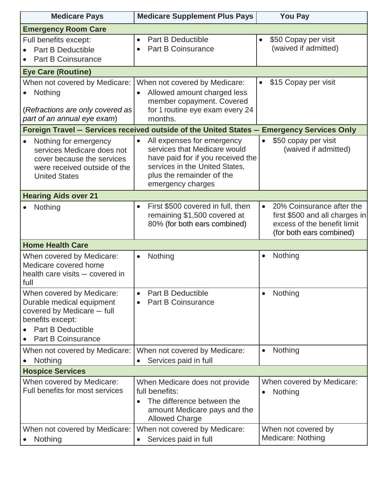| <b>Medicare Pays</b>                                                                                                                                              | <b>Medicare Supplement Plus Pays</b>                                                                                                                                                | <b>You Pay</b>                                                                                                                      |
|-------------------------------------------------------------------------------------------------------------------------------------------------------------------|-------------------------------------------------------------------------------------------------------------------------------------------------------------------------------------|-------------------------------------------------------------------------------------------------------------------------------------|
| <b>Emergency Room Care</b>                                                                                                                                        |                                                                                                                                                                                     |                                                                                                                                     |
| Full benefits except:<br><b>Part B Deductible</b><br><b>Part B Coinsurance</b>                                                                                    | <b>Part B Deductible</b><br>$\bullet$<br><b>Part B Coinsurance</b><br>$\bullet$                                                                                                     | \$50 Copay per visit<br>(waived if admitted)                                                                                        |
| <b>Eye Care (Routine)</b>                                                                                                                                         |                                                                                                                                                                                     |                                                                                                                                     |
| When not covered by Medicare:<br>Nothing<br>(Refractions are only covered as<br>part of an annual eye exam)                                                       | When not covered by Medicare:<br>Allowed amount charged less<br>$\bullet$<br>member copayment. Covered<br>for 1 routine eye exam every 24<br>months.                                | \$15 Copay per visit<br>٠                                                                                                           |
|                                                                                                                                                                   | Foreign Travel - Services received outside of the United States - Emergency Services Only                                                                                           |                                                                                                                                     |
| Nothing for emergency<br>$\bullet$<br>services Medicare does not<br>cover because the services<br>were received outside of the<br><b>United States</b>            | All expenses for emergency<br>services that Medicare would<br>have paid for if you received the<br>services in the United States,<br>plus the remainder of the<br>emergency charges | \$50 copay per visit<br>$\bullet$<br>(waived if admitted)                                                                           |
| <b>Hearing Aids over 21</b>                                                                                                                                       |                                                                                                                                                                                     |                                                                                                                                     |
| Nothing                                                                                                                                                           | First \$500 covered in full, then<br>$\bullet$<br>remaining \$1,500 covered at<br>80% (for both ears combined)                                                                      | 20% Coinsurance after the<br>$\bullet$<br>first \$500 and all charges in<br>excess of the benefit limit<br>(for both ears combined) |
| <b>Home Health Care</b>                                                                                                                                           |                                                                                                                                                                                     |                                                                                                                                     |
| When covered by Medicare:<br>Medicare covered home<br>health care visits - covered in<br>full                                                                     | Nothing<br>$\bullet$                                                                                                                                                                | Nothing<br>$\bullet$                                                                                                                |
| When covered by Medicare:<br>Durable medical equipment<br>covered by Medicare - full<br>benefits except:<br><b>Part B Deductible</b><br><b>Part B Coinsurance</b> | <b>Part B Deductible</b><br>$\bullet$<br><b>Part B Coinsurance</b><br>$\bullet$                                                                                                     | Nothing<br>$\bullet$                                                                                                                |
| When not covered by Medicare:<br>Nothing                                                                                                                          | When not covered by Medicare:<br>Services paid in full                                                                                                                              | Nothing<br>$\bullet$                                                                                                                |
| <b>Hospice Services</b>                                                                                                                                           |                                                                                                                                                                                     |                                                                                                                                     |
| When covered by Medicare:<br>Full benefits for most services                                                                                                      | When Medicare does not provide<br>full benefits:<br>The difference between the<br>$\bullet$<br>amount Medicare pays and the<br><b>Allowed Charge</b>                                | When covered by Medicare:<br>Nothing<br>$\bullet$                                                                                   |
| When not covered by Medicare:<br>Nothing                                                                                                                          | When not covered by Medicare:<br>Services paid in full<br>$\bullet$                                                                                                                 | When not covered by<br>Medicare: Nothing                                                                                            |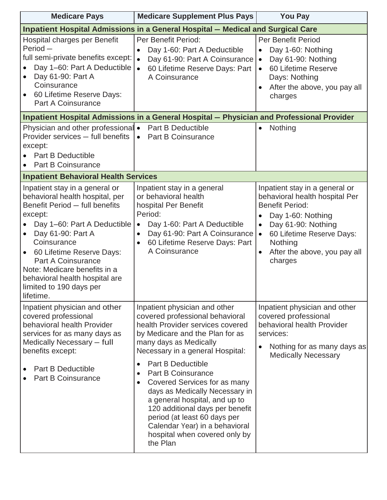| <b>Medicare Pays</b>                                                                                                                                                                                                                                                                                                                                                            | <b>Medicare Supplement Plus Pays</b>                                                                                                                                                                                                                                                                                                                                                                                                                                                                                                                       | <b>You Pay</b>                                                                                                                                                                                                                                                               |
|---------------------------------------------------------------------------------------------------------------------------------------------------------------------------------------------------------------------------------------------------------------------------------------------------------------------------------------------------------------------------------|------------------------------------------------------------------------------------------------------------------------------------------------------------------------------------------------------------------------------------------------------------------------------------------------------------------------------------------------------------------------------------------------------------------------------------------------------------------------------------------------------------------------------------------------------------|------------------------------------------------------------------------------------------------------------------------------------------------------------------------------------------------------------------------------------------------------------------------------|
|                                                                                                                                                                                                                                                                                                                                                                                 | Inpatient Hospital Admissions in a General Hospital - Medical and Surgical Care                                                                                                                                                                                                                                                                                                                                                                                                                                                                            |                                                                                                                                                                                                                                                                              |
| Hospital charges per Benefit<br>Period-<br>full semi-private benefits except:<br>Day 1-60: Part A Deductible<br>Day 61-90: Part A<br>Coinsurance<br>60 Lifetime Reserve Days:<br><b>Part A Coinsurance</b>                                                                                                                                                                      | Per Benefit Period:<br>Day 1-60: Part A Deductible<br>Day 61-90: Part A Coinsurance<br>$\bullet$<br>60 Lifetime Reserve Days: Part<br>A Coinsurance                                                                                                                                                                                                                                                                                                                                                                                                        | <b>Per Benefit Period</b><br>Day 1-60: Nothing<br>$\bullet$<br>Day 61-90: Nothing<br>$\bullet$<br>60 Lifetime Reserve<br>$\bullet$<br>Days: Nothing<br>After the above, you pay all<br>$\bullet$<br>charges                                                                  |
|                                                                                                                                                                                                                                                                                                                                                                                 | Inpatient Hospital Admissions in a General Hospital - Physician and Professional Provider                                                                                                                                                                                                                                                                                                                                                                                                                                                                  |                                                                                                                                                                                                                                                                              |
| Physician and other professional •<br>Provider services - full benefits<br>except:<br><b>Part B Deductible</b><br><b>Part B Coinsurance</b><br>$\bullet$                                                                                                                                                                                                                        | <b>Part B Deductible</b><br><b>Part B Coinsurance</b><br>$\bullet$                                                                                                                                                                                                                                                                                                                                                                                                                                                                                         | Nothing                                                                                                                                                                                                                                                                      |
| <b>Inpatient Behavioral Health Services</b>                                                                                                                                                                                                                                                                                                                                     |                                                                                                                                                                                                                                                                                                                                                                                                                                                                                                                                                            |                                                                                                                                                                                                                                                                              |
| Inpatient stay in a general or<br>behavioral health hospital, per<br>Benefit Period - full benefits<br>except:<br>Day 1-60: Part A Deductible<br>Day 61-90: Part A<br>$\bullet$<br>Coinsurance<br>60 Lifetime Reserve Days:<br>$\bullet$<br><b>Part A Coinsurance</b><br>Note: Medicare benefits in a<br>behavioral health hospital are<br>limited to 190 days per<br>lifetime. | Inpatient stay in a general<br>or behavioral health<br>hospital Per Benefit<br>Period:<br>Day 1-60: Part A Deductible<br>$\bullet$<br>Day 61-90: Part A Coinsurance<br>$\bullet$<br>60 Lifetime Reserve Days: Part<br>A Coinsurance                                                                                                                                                                                                                                                                                                                        | Inpatient stay in a general or<br>behavioral health hospital Per<br><b>Benefit Period:</b><br>Day 1-60: Nothing<br>$\bullet$<br>Day 61-90: Nothing<br>$\bullet$<br>60 Lifetime Reserve Days:<br>$\bullet$<br>Nothing<br>After the above, you pay all<br>$\bullet$<br>charges |
| Inpatient physician and other<br>covered professional<br>behavioral health Provider<br>services for as many days as<br>Medically Necessary - full<br>benefits except:<br><b>Part B Deductible</b><br><b>Part B Coinsurance</b>                                                                                                                                                  | Inpatient physician and other<br>covered professional behavioral<br>health Provider services covered<br>by Medicare and the Plan for as<br>many days as Medically<br>Necessary in a general Hospital:<br><b>Part B Deductible</b><br>$\bullet$<br><b>Part B Coinsurance</b><br>$\bullet$<br>Covered Services for as many<br>$\bullet$<br>days as Medically Necessary in<br>a general hospital, and up to<br>120 additional days per benefit<br>period (at least 60 days per<br>Calendar Year) in a behavioral<br>hospital when covered only by<br>the Plan | Inpatient physician and other<br>covered professional<br>behavioral health Provider<br>services:<br>Nothing for as many days as<br>$\bullet$<br><b>Medically Necessary</b>                                                                                                   |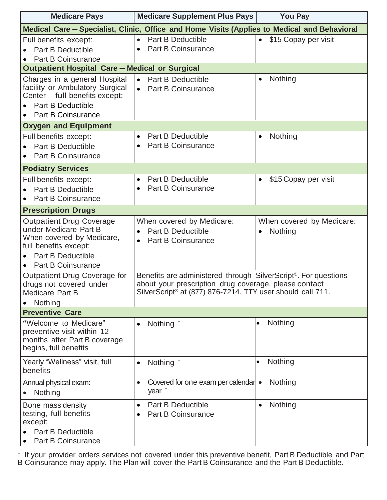| <b>Medicare Pays</b>                                                                                                                                                    | <b>Medicare Supplement Plus Pays</b>                                                                                                                                                  | <b>You Pay</b>                       |
|-------------------------------------------------------------------------------------------------------------------------------------------------------------------------|---------------------------------------------------------------------------------------------------------------------------------------------------------------------------------------|--------------------------------------|
|                                                                                                                                                                         | Medical Care - Specialist, Clinic, Office and Home Visits (Applies to Medical and Behavioral                                                                                          |                                      |
| Full benefits except:<br><b>Part B Deductible</b><br>Part B Coinsurance                                                                                                 | <b>Part B Deductible</b><br>$\bullet$<br><b>Part B Coinsurance</b><br>$\bullet$                                                                                                       | \$15 Copay per visit<br>$\bullet$    |
| <b>Outpatient Hospital Care - Medical or Surgical</b>                                                                                                                   |                                                                                                                                                                                       |                                      |
| Charges in a general Hospital<br>facility or Ambulatory Surgical<br>Center - full benefits except:<br><b>Part B Deductible</b><br><b>Part B Coinsurance</b>             | <b>Part B Deductible</b><br>$\bullet$<br><b>Part B Coinsurance</b><br>$\bullet$                                                                                                       | Nothing                              |
| <b>Oxygen and Equipment</b>                                                                                                                                             |                                                                                                                                                                                       |                                      |
| Full benefits except:<br><b>Part B Deductible</b><br><b>Part B Coinsurance</b>                                                                                          | <b>Part B Deductible</b><br>$\bullet$<br><b>Part B Coinsurance</b><br>$\bullet$                                                                                                       | Nothing                              |
| <b>Podiatry Services</b>                                                                                                                                                |                                                                                                                                                                                       |                                      |
| Full benefits except:<br><b>Part B Deductible</b><br><b>Part B Coinsurance</b>                                                                                          | <b>Part B Deductible</b><br>$\bullet$<br><b>Part B Coinsurance</b><br>$\bullet$                                                                                                       | \$15 Copay per visit<br>$\bullet$    |
| <b>Prescription Drugs</b>                                                                                                                                               |                                                                                                                                                                                       |                                      |
| <b>Outpatient Drug Coverage</b><br>under Medicare Part B<br>When covered by Medicare,<br>full benefits except:<br><b>Part B Deductible</b><br><b>Part B Coinsurance</b> | When covered by Medicare:<br><b>Part B Deductible</b><br>$\bullet$<br><b>Part B Coinsurance</b><br>$\bullet$                                                                          | When covered by Medicare:<br>Nothing |
| Outpatient Drug Coverage for<br>drugs not covered under<br>Medicare Part B<br>Nothing                                                                                   | Benefits are administered through SilverScript®. For questions<br>about your prescription drug coverage, please contact<br>SilverScript® at (877) 876-7214. TTY user should call 711. |                                      |
| <b>Preventive Care</b>                                                                                                                                                  |                                                                                                                                                                                       |                                      |
| "Welcome to Medicare"<br>preventive visit within 12<br>months after Part B coverage<br>begins, full benefits                                                            | Nothing <sup>†</sup><br>$\bullet$                                                                                                                                                     | Nothing                              |
| Yearly "Wellness" visit, full<br>benefits                                                                                                                               | Nothing <sup>t</sup><br>$\bullet$                                                                                                                                                     | Nothing                              |
| Annual physical exam:<br>Nothing                                                                                                                                        | Covered for one exam per calendar •<br>$\bullet$<br>year $†$                                                                                                                          | Nothing                              |
| Bone mass density<br>testing, full benefits<br>except:<br><b>Part B Deductible</b><br>Part B Coinsurance                                                                | <b>Part B Deductible</b><br>$\bullet$<br><b>Part B Coinsurance</b><br>$\bullet$                                                                                                       | Nothing<br>$\bullet$                 |

† If your provider orders services not covered under this preventive benefit, Part B Deductible and Part B Coinsurance may apply. The Plan will cover the Part B Coinsurance and the Part B Deductible.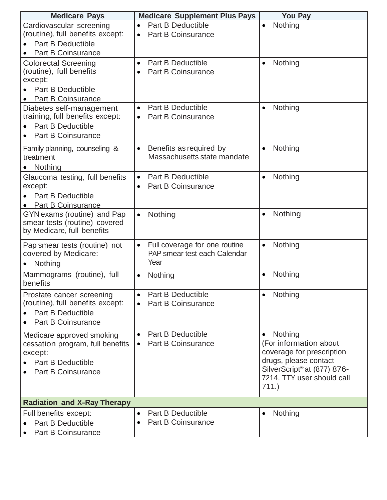| <b>Medicare Pays</b>                                                                                                              | <b>Medicare Supplement Plus Pays</b>                                               | <b>You Pay</b>                                                                                                                                                             |
|-----------------------------------------------------------------------------------------------------------------------------------|------------------------------------------------------------------------------------|----------------------------------------------------------------------------------------------------------------------------------------------------------------------------|
| Cardiovascular screening<br>(routine), full benefits except:<br><b>Part B Deductible</b><br><b>Part B Coinsurance</b>             | <b>Part B Deductible</b><br>$\bullet$<br><b>Part B Coinsurance</b><br>$\bullet$    | Nothing<br>$\bullet$                                                                                                                                                       |
| <b>Colorectal Screening</b><br>(routine), full benefits<br>except:<br><b>Part B Deductible</b><br><b>Part B Coinsurance</b>       | <b>Part B Deductible</b><br>$\bullet$<br><b>Part B Coinsurance</b><br>$\bullet$    | Nothing<br>$\bullet$                                                                                                                                                       |
| Diabetes self-management<br>training, full benefits except:<br><b>Part B Deductible</b><br><b>Part B Coinsurance</b><br>$\bullet$ | Part B Deductible<br>$\bullet$<br><b>Part B Coinsurance</b><br>$\bullet$           | Nothing<br>$\bullet$                                                                                                                                                       |
| Family planning, counseling &<br>treatment<br>Nothing                                                                             | Benefits as required by<br>$\bullet$<br>Massachusetts state mandate                | Nothing<br>$\bullet$                                                                                                                                                       |
| Glaucoma testing, full benefits<br>except:<br><b>Part B Deductible</b><br><b>Part B Coinsurance</b>                               | <b>Part B Deductible</b><br>$\bullet$<br><b>Part B Coinsurance</b><br>$\bullet$    | Nothing<br>$\bullet$                                                                                                                                                       |
| GYN exams (routine) and Pap<br>smear tests (routine) covered<br>by Medicare, full benefits                                        | Nothing<br>$\bullet$                                                               | Nothing<br>$\bullet$                                                                                                                                                       |
| Pap smear tests (routine) not<br>covered by Medicare:<br>Nothing<br>$\bullet$                                                     | Full coverage for one routine<br>$\bullet$<br>PAP smear test each Calendar<br>Year | Nothing<br>$\bullet$                                                                                                                                                       |
| Mammograms (routine), full<br>benefits                                                                                            | Nothing<br>$\bullet$                                                               | Nothing<br>$\bullet$                                                                                                                                                       |
| Prostate cancer screening<br>(routine), full benefits except:<br><b>Part B Deductible</b><br><b>Part B Coinsurance</b>            | <b>Part B Deductible</b><br>$\bullet$<br><b>Part B Coinsurance</b>                 | Nothing<br>$\bullet$                                                                                                                                                       |
| Medicare approved smoking<br>cessation program, full benefits<br>except:<br><b>Part B Deductible</b><br><b>Part B Coinsurance</b> | <b>Part B Deductible</b><br><b>Part B Coinsurance</b>                              | Nothing<br>$\bullet$<br>(For information about<br>coverage for prescription<br>drugs, please contact<br>SilverScript® at (877) 876-<br>7214. TTY user should call<br>711.) |
| <b>Radiation and X-Ray Therapy</b>                                                                                                |                                                                                    |                                                                                                                                                                            |
| Full benefits except:<br><b>Part B Deductible</b><br>Part B Coinsurance                                                           | <b>Part B Deductible</b><br><b>Part B Coinsurance</b>                              | Nothing<br>$\bullet$                                                                                                                                                       |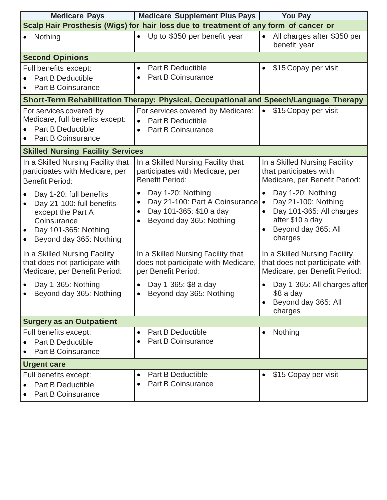| <b>Medicare Pays</b>                                                                                                                        | <b>Medicare Supplement Plus Pays</b>                                                                                   | <b>You Pay</b>                                                                                                                                                    |
|---------------------------------------------------------------------------------------------------------------------------------------------|------------------------------------------------------------------------------------------------------------------------|-------------------------------------------------------------------------------------------------------------------------------------------------------------------|
|                                                                                                                                             | Scalp Hair Prosthesis (Wigs) for hair loss due to treatment of any form of cancer or                                   |                                                                                                                                                                   |
| Nothing                                                                                                                                     | Up to \$350 per benefit year<br>$\bullet$                                                                              | All charges after \$350 per<br>$\bullet$<br>benefit year                                                                                                          |
| <b>Second Opinions</b>                                                                                                                      |                                                                                                                        |                                                                                                                                                                   |
| Full benefits except:<br><b>Part B Deductible</b><br><b>Part B Coinsurance</b>                                                              | <b>Part B Deductible</b><br>$\bullet$<br>Part B Coinsurance<br>$\bullet$                                               | \$15 Copay per visit                                                                                                                                              |
|                                                                                                                                             | Short-Term Rehabilitation Therapy: Physical, Occupational and Speech/Language Therapy                                  |                                                                                                                                                                   |
| For services covered by<br>Medicare, full benefits except:<br><b>Part B Deductible</b><br><b>Part B Coinsurance</b>                         | For services covered by Medicare:<br><b>Part B Deductible</b><br>Part B Coinsurance<br>$\bullet$                       | \$15 Copay per visit<br>$\bullet$                                                                                                                                 |
| <b>Skilled Nursing Facility Services</b>                                                                                                    |                                                                                                                        |                                                                                                                                                                   |
| In a Skilled Nursing Facility that<br>participates with Medicare, per<br><b>Benefit Period:</b>                                             | In a Skilled Nursing Facility that<br>participates with Medicare, per<br><b>Benefit Period:</b>                        | In a Skilled Nursing Facility<br>that participates with<br>Medicare, per Benefit Period:                                                                          |
| Day 1-20: full benefits<br>Day 21-100: full benefits<br>except the Part A<br>Coinsurance<br>Day 101-365: Nothing<br>Beyond day 365: Nothing | Day 1-20: Nothing<br>Day 21-100: Part A Coinsurance<br>$\bullet$<br>Day 101-365: \$10 a day<br>Beyond day 365: Nothing | Day 1-20: Nothing<br>$\bullet$<br>Day 21-100: Nothing<br>$\bullet$<br>Day 101-365: All charges<br>after \$10 a day<br>Beyond day 365: All<br>$\bullet$<br>charges |
| In a Skilled Nursing Facility<br>that does not participate with<br>Medicare, per Benefit Period:                                            | In a Skilled Nursing Facility that<br>does not participate with Medicare,<br>per Benefit Period:                       | In a Skilled Nursing Facility<br>that does not participate with<br>Medicare, per Benefit Period:                                                                  |
| Day 1-365: Nothing<br>Beyond day 365: Nothing<br>$\bullet$                                                                                  | Day 1-365: \$8 a day<br>Beyond day 365: Nothing                                                                        | Day 1-365: All charges after<br>$$8a$ day<br>Beyond day 365: All<br>charges                                                                                       |
| <b>Surgery as an Outpatient</b>                                                                                                             |                                                                                                                        |                                                                                                                                                                   |
| Full benefits except:<br><b>Part B Deductible</b><br><b>Part B Coinsurance</b>                                                              | <b>Part B Deductible</b><br>Part B Coinsurance<br>$\bullet$                                                            | Nothing<br>$\bullet$                                                                                                                                              |
| <b>Urgent care</b>                                                                                                                          |                                                                                                                        |                                                                                                                                                                   |
| Full benefits except:<br><b>Part B Deductible</b><br>Part B Coinsurance                                                                     | <b>Part B Deductible</b><br>$\bullet$<br>Part B Coinsurance                                                            | \$15 Copay per visit                                                                                                                                              |